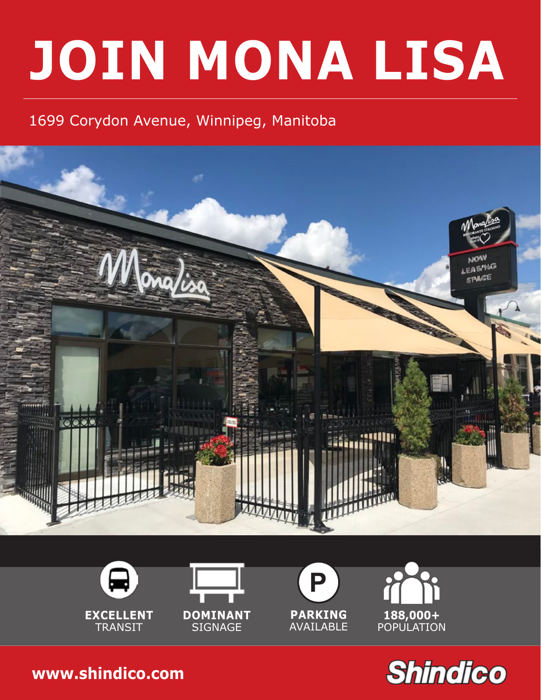# **JOIN MONA LISA**

## 1699 Corydon Avenue, Winnipeg, Manitoba













**[www.shindico.com](http://www.shindico.com)**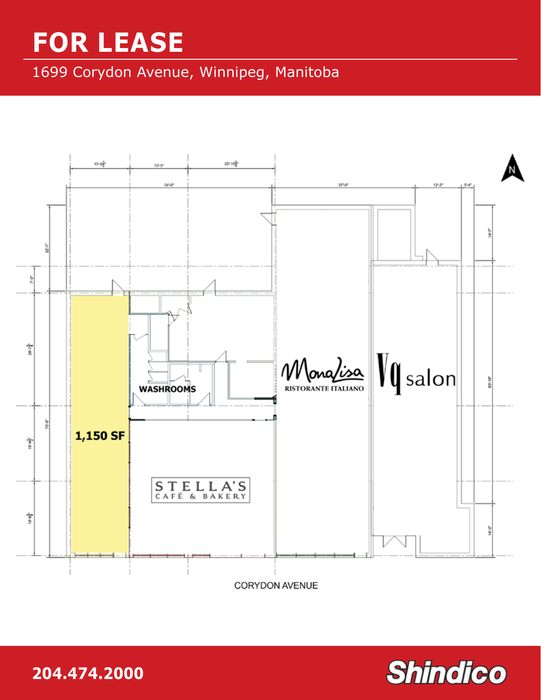## **FOR LEASE**

1699 Corydon Avenue, Winnipeg, Manitoba



**204.474.2000 www.shindico**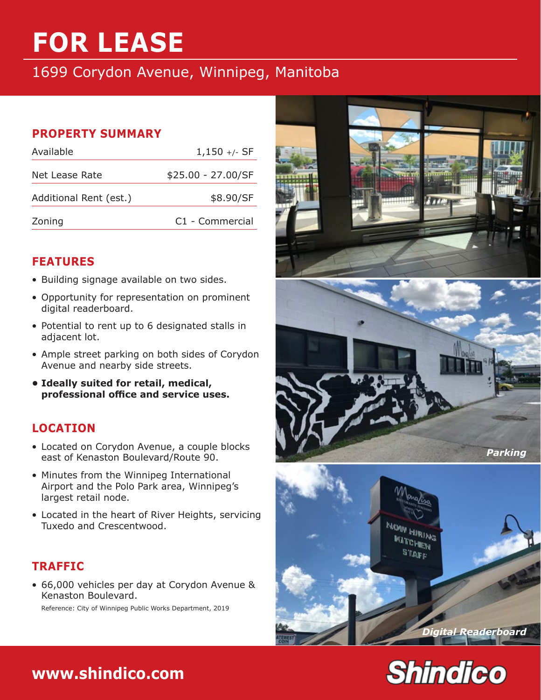# **FOR LEASE**

#### 1699 Corydon Avenue, Winnipeg, Manitoba

#### **PROPERTY SUMMARY**

| Available              | $1,150 +/-$ SF     |
|------------------------|--------------------|
| Net Lease Rate         | \$25.00 - 27.00/SF |
| Additional Rent (est.) | \$8.90/SF          |
| Zoning                 | C1 - Commercial    |

#### **FEATURES**

- Building signage available on two sides.
- Opportunity for representation on prominent digital readerboard.
- Potential to rent up to 6 designated stalls in adjacent lot.
- Ample street parking on both sides of Corydon Avenue and nearby side streets.
- **• Ideally suited for retail, medical, professional office and service uses.**

#### **LOCATION**

- Located on Corydon Avenue, a couple blocks east of Kenaston Boulevard/Route 90.
- Minutes from the Winnipeg International Airport and the Polo Park area, Winnipeg's largest retail node.
- Located in the heart of River Heights, servicing Tuxedo and Crescentwood.

#### **TRAFFIC**

• 66,000 vehicles per day at Corydon Avenue & Kenaston Boulevard. Reference: City of Winnipeg Public Works Department, 2019









### **204.474.2000 [www.shindico.com](http://www.shindico.com)**